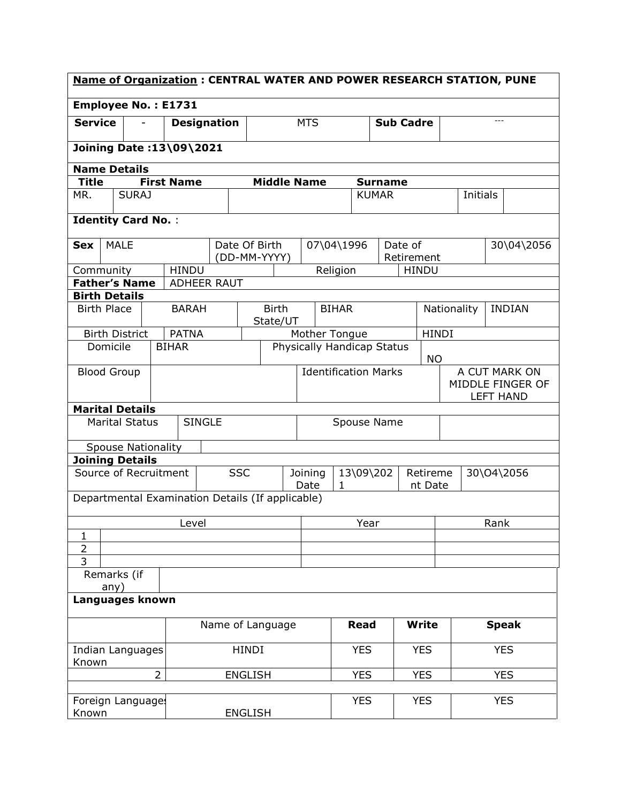| <b>Name of Organization: CENTRAL WATER AND POWER RESEARCH STATION, PUNE</b> |                                                  |                |                    |               |                |                                         |                                                                     |              |                             |                                      |              |               |                              |              |            |
|-----------------------------------------------------------------------------|--------------------------------------------------|----------------|--------------------|---------------|----------------|-----------------------------------------|---------------------------------------------------------------------|--------------|-----------------------------|--------------------------------------|--------------|---------------|------------------------------|--------------|------------|
|                                                                             | <b>Employee No.: E1731</b>                       |                |                    |               |                |                                         |                                                                     |              |                             |                                      |              |               |                              |              |            |
| <b>Service</b>                                                              |                                                  |                | <b>Designation</b> |               |                |                                         | <b>MTS</b>                                                          |              |                             | <b>Sub Cadre</b>                     |              |               |                              | $---$        |            |
|                                                                             | Joining Date: 13\09\2021                         |                |                    |               |                |                                         |                                                                     |              |                             |                                      |              |               |                              |              |            |
|                                                                             | <b>Name Details</b>                              |                |                    |               |                |                                         |                                                                     |              |                             |                                      |              |               |                              |              |            |
| Title                                                                       |                                                  |                | <b>First Name</b>  |               |                | <b>Middle Name</b>                      |                                                                     |              | <b>Surname</b>              |                                      |              |               |                              |              |            |
| MR.                                                                         | <b>SURAJ</b>                                     |                |                    |               |                |                                         |                                                                     |              | <b>KUMAR</b>                |                                      |              |               | <b>Initials</b>              |              |            |
|                                                                             | <b>Identity Card No.:</b>                        |                |                    |               |                |                                         |                                                                     |              |                             |                                      |              |               |                              |              |            |
| <b>Sex</b>                                                                  | <b>MALE</b>                                      |                |                    | Date Of Birth |                | (DD-MM-YYYY)                            |                                                                     | 07\04\1996   |                             | Date of<br>Retirement                |              |               |                              |              | 30\04\2056 |
| Community                                                                   |                                                  |                | <b>HINDU</b>       |               |                |                                         |                                                                     | Religion     |                             |                                      | <b>HINDU</b> |               |                              |              |            |
|                                                                             | <b>Father's Name</b>                             |                | ADHEER RAUT        |               |                |                                         |                                                                     |              |                             |                                      |              |               |                              |              |            |
|                                                                             | <b>Birth Details</b>                             |                |                    |               |                |                                         |                                                                     |              |                             |                                      |              |               |                              |              |            |
| <b>Birth Place</b>                                                          |                                                  |                | <b>BARAH</b>       |               |                | <b>Birth</b><br>State/UT                |                                                                     | <b>BIHAR</b> |                             |                                      |              |               | Nationality<br><b>INDIAN</b> |              |            |
|                                                                             | <b>Birth District</b>                            |                | <b>PATNA</b>       |               |                |                                         | Mother Tongue<br><b>HINDI</b>                                       |              |                             |                                      |              |               |                              |              |            |
|                                                                             | Domicile                                         |                | <b>BIHAR</b>       |               |                | Physically Handicap Status<br><b>NO</b> |                                                                     |              |                             |                                      |              |               |                              |              |            |
|                                                                             | <b>Blood Group</b>                               |                |                    |               |                |                                         |                                                                     |              | <b>Identification Marks</b> |                                      |              | A CUT MARK ON |                              |              |            |
|                                                                             |                                                  |                |                    |               |                |                                         |                                                                     |              |                             | MIDDLE FINGER OF<br><b>LEFT HAND</b> |              |               |                              |              |            |
|                                                                             | <b>Marital Details</b>                           |                |                    |               |                |                                         |                                                                     |              |                             |                                      |              |               |                              |              |            |
|                                                                             | <b>Marital Status</b>                            |                | <b>SINGLE</b>      |               |                |                                         | Spouse Name                                                         |              |                             |                                      |              |               |                              |              |            |
|                                                                             | <b>Spouse Nationality</b>                        |                |                    |               |                |                                         |                                                                     |              |                             |                                      |              |               |                              |              |            |
|                                                                             | <b>Joining Details</b>                           |                |                    |               |                |                                         |                                                                     |              |                             |                                      |              |               |                              |              |            |
|                                                                             | Source of Recruitment                            |                |                    |               | <b>SSC</b>     |                                         | 13\09\202<br>Joining<br>Retireme<br>Date<br>$\mathbf{1}$<br>nt Date |              |                             | 30\04\2056                           |              |               |                              |              |            |
|                                                                             | Departmental Examination Details (If applicable) |                |                    |               |                |                                         |                                                                     |              |                             |                                      |              |               |                              |              |            |
|                                                                             |                                                  |                | Level              |               |                |                                         |                                                                     | Year         |                             |                                      |              | Rank          |                              |              |            |
| $\mathbf{1}$                                                                |                                                  |                |                    |               |                |                                         |                                                                     |              |                             |                                      |              |               |                              |              |            |
| $\overline{2}$<br>3                                                         |                                                  |                |                    |               |                |                                         |                                                                     |              |                             |                                      |              |               |                              |              |            |
|                                                                             | Remarks (if                                      |                |                    |               |                |                                         |                                                                     |              |                             |                                      |              |               |                              |              |            |
|                                                                             | any)                                             |                |                    |               |                |                                         |                                                                     |              |                             |                                      |              |               |                              |              |            |
| Languages known                                                             |                                                  |                |                    |               |                |                                         |                                                                     |              |                             |                                      |              |               |                              |              |            |
|                                                                             |                                                  |                |                    |               |                | Name of Language                        |                                                                     |              | <b>Read</b>                 |                                      | <b>Write</b> |               |                              | <b>Speak</b> |            |
| Known                                                                       | Indian Languages                                 |                |                    |               | HINDI          |                                         |                                                                     |              | <b>YES</b>                  |                                      | <b>YES</b>   |               |                              | <b>YES</b>   |            |
|                                                                             |                                                  | $\overline{2}$ |                    |               | <b>ENGLISH</b> |                                         |                                                                     |              | <b>YES</b>                  | <b>YES</b>                           |              |               | <b>YES</b>                   |              |            |
|                                                                             |                                                  |                |                    |               |                |                                         |                                                                     |              |                             |                                      |              |               |                              |              |            |
| Foreign Languages<br>Known                                                  |                                                  |                |                    |               | <b>ENGLISH</b> |                                         |                                                                     |              | <b>YES</b>                  |                                      | <b>YES</b>   |               |                              | <b>YES</b>   |            |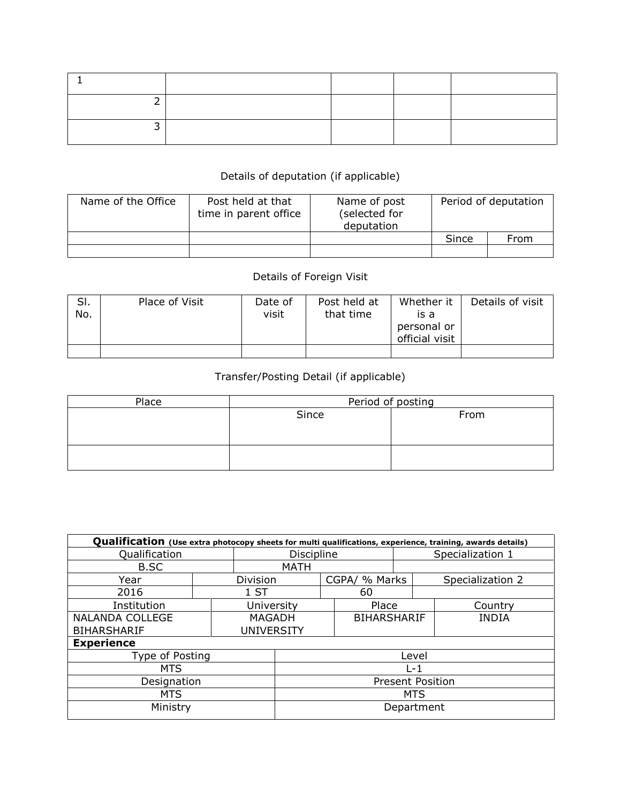## Details of deputation (if applicable)

| Name of the Office | Post held at that<br>time in parent office | Name of post<br>(selected for<br>deputation | Period of deputation |      |  |  |
|--------------------|--------------------------------------------|---------------------------------------------|----------------------|------|--|--|
|                    |                                            |                                             | Since                | From |  |  |
|                    |                                            |                                             |                      |      |  |  |

## Details of Foreign Visit

| SI.<br>No. | Place of Visit | Date of<br>visit | Post held at<br>that time | Whether it<br>is a<br>personal or<br>official visit | Details of visit |
|------------|----------------|------------------|---------------------------|-----------------------------------------------------|------------------|
|            |                |                  |                           |                                                     |                  |

## Transfer/Posting Detail (if applicable)

| Place | Period of posting |      |  |  |  |  |  |
|-------|-------------------|------|--|--|--|--|--|
|       | Since             | From |  |  |  |  |  |
|       |                   |      |  |  |  |  |  |
|       |                   |      |  |  |  |  |  |
|       |                   |      |  |  |  |  |  |
|       |                   |      |  |  |  |  |  |

| Qualification (Use extra photocopy sheets for multi qualifications, experience, training, awards details) |                         |                   |                   |               |                    |                  |                  |         |  |  |
|-----------------------------------------------------------------------------------------------------------|-------------------------|-------------------|-------------------|---------------|--------------------|------------------|------------------|---------|--|--|
| Qualification                                                                                             |                         |                   | <b>Discipline</b> |               |                    |                  | Specialization 1 |         |  |  |
| B.SC                                                                                                      |                         |                   | MATH              |               |                    |                  |                  |         |  |  |
| Year                                                                                                      |                         | Division          |                   | CGPA/ % Marks |                    | Specialization 2 |                  |         |  |  |
| 2016                                                                                                      |                         | 1 ST              |                   |               | 60                 |                  |                  |         |  |  |
| Institution                                                                                               |                         | University        |                   |               | Place              |                  |                  | Country |  |  |
| <b>NALANDA COLLEGE</b>                                                                                    |                         | <b>MAGADH</b>     |                   |               | <b>BIHARSHARIF</b> |                  | <b>INDIA</b>     |         |  |  |
| <b>BIHARSHARIF</b>                                                                                        |                         | <b>UNIVERSITY</b> |                   |               |                    |                  |                  |         |  |  |
| <b>Experience</b>                                                                                         |                         |                   |                   |               |                    |                  |                  |         |  |  |
| Type of Posting                                                                                           |                         |                   | Level             |               |                    |                  |                  |         |  |  |
| <b>MTS</b>                                                                                                |                         |                   | $1 - 1$           |               |                    |                  |                  |         |  |  |
| Designation                                                                                               | <b>Present Position</b> |                   |                   |               |                    |                  |                  |         |  |  |
| <b>MTS</b>                                                                                                | <b>MTS</b>              |                   |                   |               |                    |                  |                  |         |  |  |
| Ministry                                                                                                  |                         |                   |                   | Department    |                    |                  |                  |         |  |  |